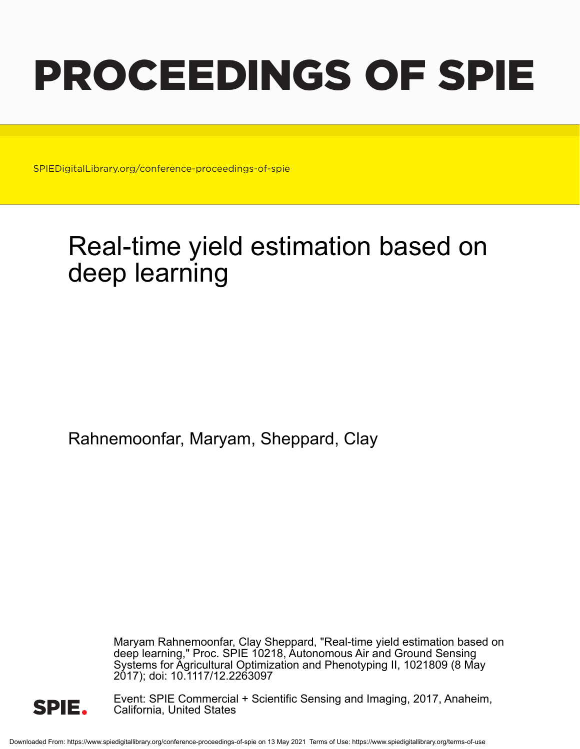# PROCEEDINGS OF SPIE

SPIEDigitalLibrary.org/conference-proceedings-of-spie

## Real-time yield estimation based on deep learning

Rahnemoonfar, Maryam, Sheppard, Clay

Maryam Rahnemoonfar, Clay Sheppard, "Real-time yield estimation based on deep learning," Proc. SPIE 10218, Autonomous Air and Ground Sensing Systems for Agricultural Optimization and Phenotyping II, 1021809 (8 May 2017); doi: 10.1117/12.2263097



Event: SPIE Commercial + Scientific Sensing and Imaging, 2017, Anaheim, California, United States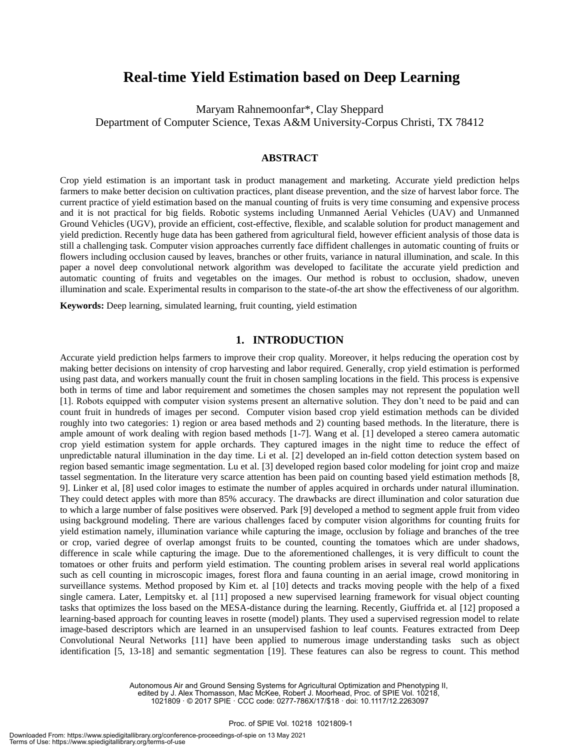### **Real-time Yield Estimation based on Deep Learning**

Maryam Rahnemoonfar\*, Clay Sheppard

Department of Computer Science, Texas A&M University-Corpus Christi, TX 78412

#### **ABSTRACT**

Crop yield estimation is an important task in product management and marketing. Accurate yield prediction helps farmers to make better decision on cultivation practices, plant disease prevention, and the size of harvest labor force. The current practice of yield estimation based on the manual counting of fruits is very time consuming and expensive process and it is not practical for big fields. Robotic systems including Unmanned Aerial Vehicles (UAV) and Unmanned Ground Vehicles (UGV), provide an efficient, cost-effective, flexible, and scalable solution for product management and yield prediction. Recently huge data has been gathered from agricultural field, however efficient analysis of those data is still a challenging task. Computer vision approaches currently face diffident challenges in automatic counting of fruits or flowers including occlusion caused by leaves, branches or other fruits, variance in natural illumination, and scale. In this paper a novel deep convolutional network algorithm was developed to facilitate the accurate yield prediction and automatic counting of fruits and vegetables on the images. Our method is robust to occlusion, shadow, uneven illumination and scale. Experimental results in comparison to the state-of-the art show the effectiveness of our algorithm.

**Keywords:** Deep learning, simulated learning, fruit counting, yield estimation

#### **1. INTRODUCTION**

Accurate yield prediction helps farmers to improve their crop quality. Moreover, it helps reducing the operation cost by making better decisions on intensity of crop harvesting and labor required. Generally, crop yield estimation is performed using past data, and workers manually count the fruit in chosen sampling locations in the field. This process is expensive both in terms of time and labor requirement and sometimes the chosen samples may not represent the population well [1]. Robots equipped with computer vision systems present an alternative solution. They don't need to be paid and can count fruit in hundreds of images per second. Computer vision based crop yield estimation methods can be divided roughly into two categories: 1) region or area based methods and 2) counting based methods. In the literature, there is ample amount of work dealing with region based methods [1-7]. Wang et al. [1] developed a stereo camera automatic crop yield estimation system for apple orchards. They captured images in the night time to reduce the effect of unpredictable natural illumination in the day time. Li et al. [2] developed an in-field cotton detection system based on region based semantic image segmentation. Lu et al. [3] developed region based color modeling for joint crop and maize tassel segmentation. In the literature very scarce attention has been paid on counting based yield estimation methods [8, 9]. Linker et al, [8] used color images to estimate the number of apples acquired in orchards under natural illumination. They could detect apples with more than 85% accuracy. The drawbacks are direct illumination and color saturation due to which a large number of false positives were observed. Park [9] developed a method to segment apple fruit from video using background modeling. There are various challenges faced by computer vision algorithms for counting fruits for yield estimation namely, illumination variance while capturing the image, occlusion by foliage and branches of the tree or crop, varied degree of overlap amongst fruits to be counted, counting the tomatoes which are under shadows, difference in scale while capturing the image. Due to the aforementioned challenges, it is very difficult to count the tomatoes or other fruits and perform yield estimation. The counting problem arises in several real world applications such as cell counting in microscopic images, forest flora and fauna counting in an aerial image, crowd monitoring in surveillance systems. Method proposed by Kim et. al [10] detects and tracks moving people with the help of a fixed single camera. Later, Lempitsky et. al [11] proposed a new supervised learning framework for visual object counting tasks that optimizes the loss based on the MESA-distance during the learning. Recently, Giuffrida et. al [12] proposed a learning-based approach for counting leaves in rosette (model) plants. They used a supervised regression model to relate image-based descriptors which are learned in an unsupervised fashion to leaf counts. Features extracted from Deep Convolutional Neural Networks [11] have been applied to numerous image understanding tasks such as object identification [5, 13-18] and semantic segmentation [19]. These features can also be regress to count. This method

> Autonomous Air and Ground Sensing Systems for Agricultural Optimization and Phenotyping II, edited by J. Alex Thomasson, Mac McKee, Robert J. Moorhead, Proc. of SPIE Vol. 10218, 1021809 · © 2017 SPIE · CCC code: 0277-786X/17/\$18 · doi: 10.1117/12.2263097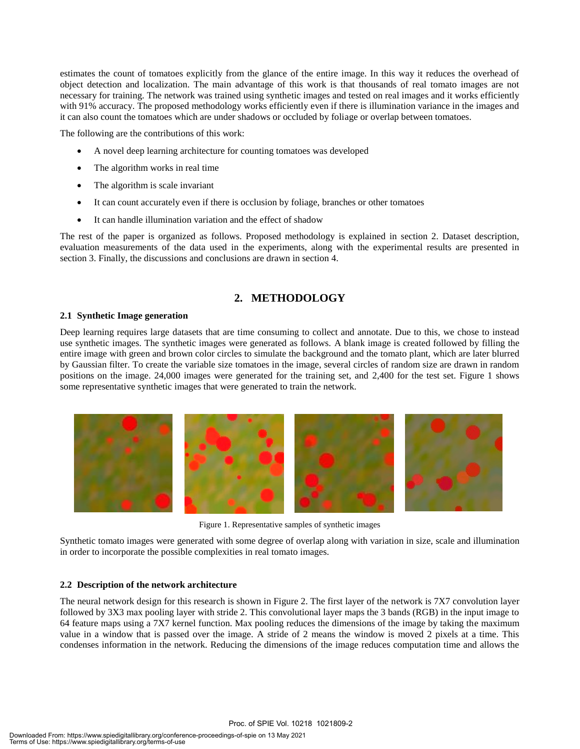estimates the count of tomatoes explicitly from the glance of the entire image. In this way it reduces the overhead of object detection and localization. The main advantage of this work is that thousands of real tomato images are not necessary for training. The network was trained using synthetic images and tested on real images and it works efficiently with 91% accuracy. The proposed methodology works efficiently even if there is illumination variance in the images and it can also count the tomatoes which are under shadows or occluded by foliage or overlap between tomatoes.

The following are the contributions of this work:

- A novel deep learning architecture for counting tomatoes was developed
- The algorithm works in real time
- The algorithm is scale invariant
- It can count accurately even if there is occlusion by foliage, branches or other tomatoes
- It can handle illumination variation and the effect of shadow

The rest of the paper is organized as follows. Proposed methodology is explained in section 2. Dataset description, evaluation measurements of the data used in the experiments, along with the experimental results are presented in section 3. Finally, the discussions and conclusions are drawn in section 4.

#### **2. METHODOLOGY**

#### **2.1 Synthetic Image generation**

Deep learning requires large datasets that are time consuming to collect and annotate. Due to this, we chose to instead use synthetic images. The synthetic images were generated as follows. A blank image is created followed by filling the entire image with green and brown color circles to simulate the background and the tomato plant, which are later blurred by Gaussian filter. To create the variable size tomatoes in the image, several circles of random size are drawn in random positions on the image. 24,000 images were generated for the training set, and 2,400 for the test set. Figure 1 shows some representative synthetic images that were generated to train the network.



Figure 1. Representative samples of synthetic images

Synthetic tomato images were generated with some degree of overlap along with variation in size, scale and illumination in order to incorporate the possible complexities in real tomato images.

#### **2.2 Description of the network architecture**

The neural network design for this research is shown in Figure 2. The first layer of the network is 7X7 convolution layer followed by 3X3 max pooling layer with stride 2. This convolutional layer maps the 3 bands (RGB) in the input image to 64 feature maps using a 7X7 kernel function. Max pooling reduces the dimensions of the image by taking the maximum value in a window that is passed over the image. A stride of 2 means the window is moved 2 pixels at a time. This condenses information in the network. Reducing the dimensions of the image reduces computation time and allows the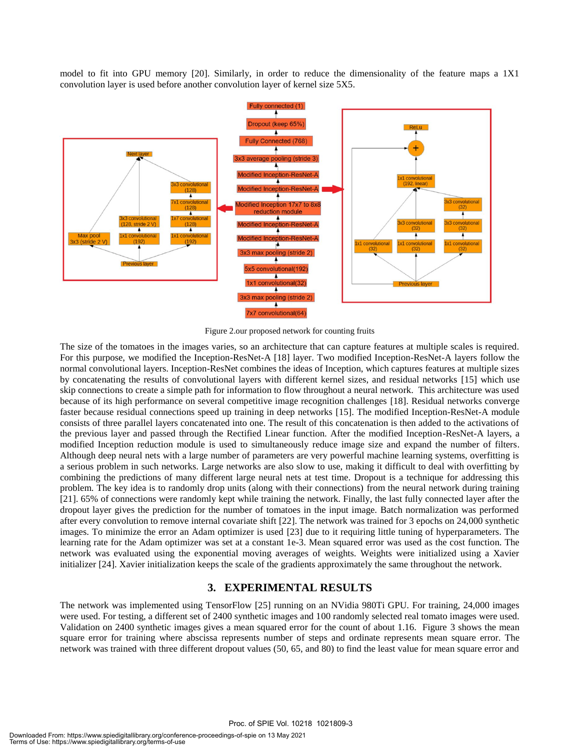model to fit into GPU memory [20]. Similarly, in order to reduce the dimensionality of the feature maps a 1X1 convolution layer is used before another convolution layer of kernel size 5X5.



Figure 2.our proposed network for counting fruits

The size of the tomatoes in the images varies, so an architecture that can capture features at multiple scales is required. For this purpose, we modified the Inception-ResNet-A [18] layer. Two modified Inception-ResNet-A layers follow the normal convolutional layers. Inception-ResNet combines the ideas of Inception, which captures features at multiple sizes by concatenating the results of convolutional layers with different kernel sizes, and residual networks [15] which use skip connections to create a simple path for information to flow throughout a neural network. This architecture was used because of its high performance on several competitive image recognition challenges [18]. Residual networks converge faster because residual connections speed up training in deep networks [15]. The modified Inception-ResNet-A module consists of three parallel layers concatenated into one. The result of this concatenation is then added to the activations of the previous layer and passed through the Rectified Linear function. After the modified Inception-ResNet-A layers, a modified Inception reduction module is used to simultaneously reduce image size and expand the number of filters. Although deep neural nets with a large number of parameters are very powerful machine learning systems, overfitting is a serious problem in such networks. Large networks are also slow to use, making it difficult to deal with overfitting by combining the predictions of many different large neural nets at test time. Dropout is a technique for addressing this problem. The key idea is to randomly drop units (along with their connections) from the neural network during training [21]. 65% of connections were randomly kept while training the network. Finally, the last fully connected layer after the dropout layer gives the prediction for the number of tomatoes in the input image. Batch normalization was performed after every convolution to remove internal covariate shift [22]. The network was trained for 3 epochs on 24,000 synthetic images. To minimize the error an Adam optimizer is used [23] due to it requiring little tuning of hyperparameters. The learning rate for the Adam optimizer was set at a constant 1e-3. Mean squared error was used as the cost function. The network was evaluated using the exponential moving averages of weights. Weights were initialized using a Xavier initializer [24]. Xavier initialization keeps the scale of the gradients approximately the same throughout the network.

#### **3. EXPERIMENTAL RESULTS**

The network was implemented using TensorFlow [25] running on an NVidia 980Ti GPU. For training, 24,000 images were used. For testing, a different set of 2400 synthetic images and 100 randomly selected real tomato images were used. Validation on 2400 synthetic images gives a mean squared error for the count of about 1.16. Figure 3 shows the mean square error for training where abscissa represents number of steps and ordinate represents mean square error. The network was trained with three different dropout values (50, 65, and 80) to find the least value for mean square error and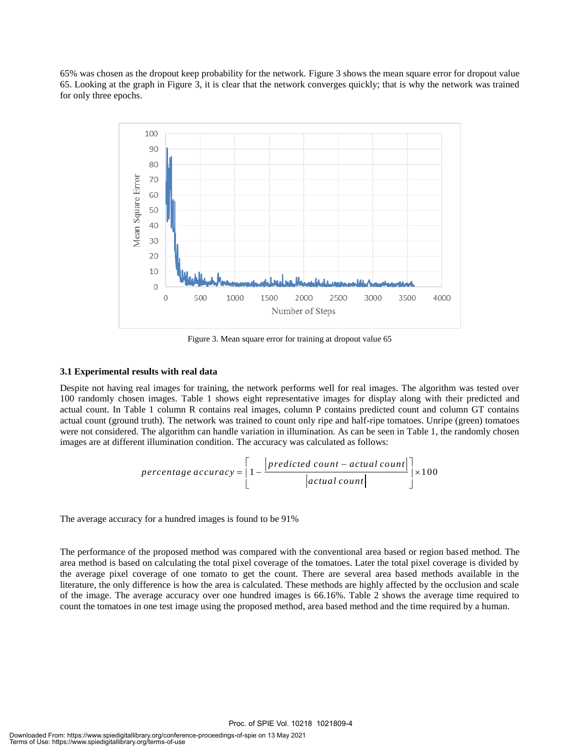65% was chosen as the dropout keep probability for the network. Figure 3 shows the mean square error for dropout value 65. Looking at the graph in Figure 3, it is clear that the network converges quickly; that is why the network was trained for only three epochs.



Figure 3. Mean square error for training at dropout value 65

#### **3.1 Experimental results with real data**

Despite not having real images for training, the network performs well for real images. The algorithm was tested over 100 randomly chosen images. Table 1 shows eight representative images for display along with their predicted and actual count. In Table 1 column R contains real images, column P contains predicted count and column GT contains actual count (ground truth). The network was trained to count only ripe and half-ripe tomatoes. Unripe (green) tomatoes were not considered. The algorithm can handle variation in illumination. As can be seen in Table 1, the randomly chosen

where not considered. The algorithm can handle variation in immunization. As can be seen in Table 1, the images are at different illumination condition. The accuracy was calculated as follows:\n
$$
percentage\ accuracy = \left[1 - \frac{\left[predicted\ count - actual\ count\right]}{\left|actual\ count\right|}\right] \times 100
$$

The average accuracy for a hundred images is found to be 91%

The performance of the proposed method was compared with the conventional area based or region based method. The area method is based on calculating the total pixel coverage of the tomatoes. Later the total pixel coverage is divided by the average pixel coverage of one tomato to get the count. There are several area based methods available in the literature, the only difference is how the area is calculated. These methods are highly affected by the occlusion and scale of the image. The average accuracy over one hundred images is 66.16%. Table 2 shows the average time required to count the tomatoes in one test image using the proposed method, area based method and the time required by a human.

Proc. of SPIE Vol. 10218 1021809-4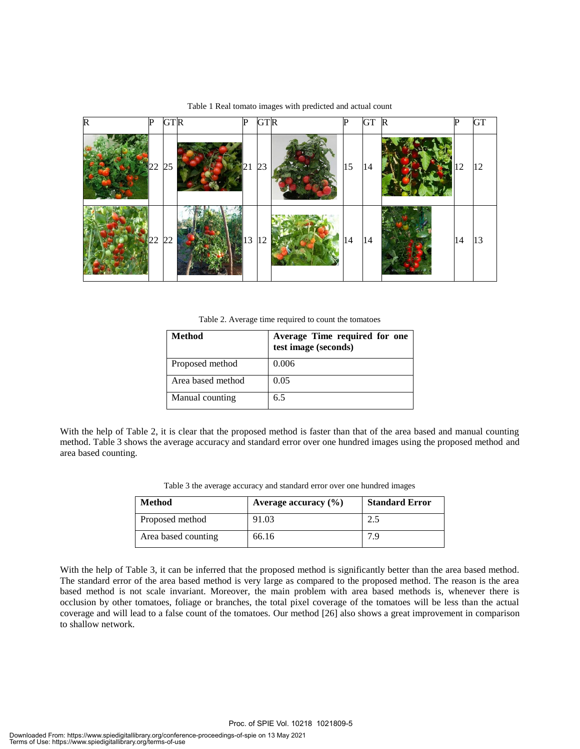

Table 1 Real tomato images with predicted and actual count

Table 2. Average time required to count the tomatoes

| <b>Method</b>     | Average Time required for one<br>test image (seconds) |
|-------------------|-------------------------------------------------------|
| Proposed method   | 0.006                                                 |
| Area based method | 0.05                                                  |
| Manual counting   | 6.5                                                   |

With the help of Table 2, it is clear that the proposed method is faster than that of the area based and manual counting method. Table 3 shows the average accuracy and standard error over one hundred images using the proposed method and area based counting.

| Table 3 the average accuracy and standard error over one hundred images |  |  |  |  |  |
|-------------------------------------------------------------------------|--|--|--|--|--|
|-------------------------------------------------------------------------|--|--|--|--|--|

| Method              | Average accuracy $(\% )$ | <b>Standard Error</b> |
|---------------------|--------------------------|-----------------------|
| Proposed method     | 91.03                    |                       |
| Area based counting | 66.16                    |                       |

With the help of Table 3, it can be inferred that the proposed method is significantly better than the area based method. The standard error of the area based method is very large as compared to the proposed method. The reason is the area based method is not scale invariant. Moreover, the main problem with area based methods is, whenever there is occlusion by other tomatoes, foliage or branches, the total pixel coverage of the tomatoes will be less than the actual coverage and will lead to a false count of the tomatoes. Our method [26] also shows a great improvement in comparison to shallow network.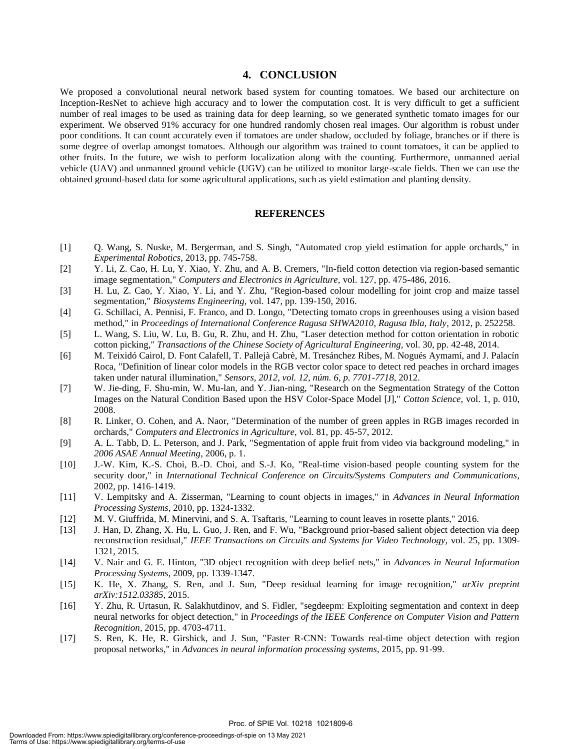#### **4. CONCLUSION**

We proposed a convolutional neural network based system for counting tomatoes. We based our architecture on Inception-ResNet to achieve high accuracy and to lower the computation cost. It is very difficult to get a sufficient number of real images to be used as training data for deep learning, so we generated synthetic tomato images for our experiment. We observed 91% accuracy for one hundred randomly chosen real images. Our algorithm is robust under poor conditions. It can count accurately even if tomatoes are under shadow, occluded by foliage, branches or if there is some degree of overlap amongst tomatoes. Although our algorithm was trained to count tomatoes, it can be applied to other fruits. In the future, we wish to perform localization along with the counting. Furthermore, unmanned aerial vehicle (UAV) and unmanned ground vehicle (UGV) can be utilized to monitor large-scale fields. Then we can use the obtained ground-based data for some agricultural applications, such as yield estimation and planting density.

#### **REFERENCES**

- [1] Q. Wang, S. Nuske, M. Bergerman, and S. Singh, "Automated crop yield estimation for apple orchards," in *Experimental Robotics*, 2013, pp. 745-758.
- [2] Y. Li, Z. Cao, H. Lu, Y. Xiao, Y. Zhu, and A. B. Cremers, "In-field cotton detection via region-based semantic image segmentation," *Computers and Electronics in Agriculture,* vol. 127, pp. 475-486, 2016.
- [3] H. Lu, Z. Cao, Y. Xiao, Y. Li, and Y. Zhu, "Region-based colour modelling for joint crop and maize tassel segmentation," *Biosystems Engineering,* vol. 147, pp. 139-150, 2016.
- [4] G. Schillaci, A. Pennisi, F. Franco, and D. Longo, "Detecting tomato crops in greenhouses using a vision based method," in *Proceedings of International Conference Ragusa SHWA2010, Ragusa Ibla, Italy*, 2012, p. 252258.
- [5] L. Wang, S. Liu, W. Lu, B. Gu, R. Zhu, and H. Zhu, "Laser detection method for cotton orientation in robotic cotton picking," *Transactions of the Chinese Society of Agricultural Engineering,* vol. 30, pp. 42-48, 2014.
- [6] M. Teixidó Cairol, D. Font Calafell, T. Pallejà Cabrè, M. Tresánchez Ribes, M. Nogués Aymamí, and J. Palacín Roca, "Definition of linear color models in the RGB vector color space to detect red peaches in orchard images taken under natural illumination," *Sensors, 2012, vol. 12, núm. 6, p. 7701-7718,* 2012.
- [7] W. Jie-ding, F. Shu-min, W. Mu-lan, and Y. Jian-ning, "Research on the Segmentation Strategy of the Cotton Images on the Natural Condition Based upon the HSV Color-Space Model [J]," *Cotton Science,* vol. 1, p. 010, 2008.
- [8] R. Linker, O. Cohen, and A. Naor, "Determination of the number of green apples in RGB images recorded in orchards," *Computers and Electronics in Agriculture,* vol. 81, pp. 45-57, 2012.
- [9] A. L. Tabb, D. L. Peterson, and J. Park, "Segmentation of apple fruit from video via background modeling," in *2006 ASAE Annual Meeting*, 2006, p. 1.
- [10] J.-W. Kim, K.-S. Choi, B.-D. Choi, and S.-J. Ko, "Real-time vision-based people counting system for the security door," in *International Technical Conference on Circuits/Systems Computers and Communications*, 2002, pp. 1416-1419.
- [11] V. Lempitsky and A. Zisserman, "Learning to count objects in images," in *Advances in Neural Information Processing Systems*, 2010, pp. 1324-1332.
- [12] M. V. Giuffrida, M. Minervini, and S. A. Tsaftaris, "Learning to count leaves in rosette plants," 2016.
- [13] J. Han, D. Zhang, X. Hu, L. Guo, J. Ren, and F. Wu, "Background prior-based salient object detection via deep reconstruction residual," *IEEE Transactions on Circuits and Systems for Video Technology,* vol. 25, pp. 1309- 1321, 2015.
- [14] V. Nair and G. E. Hinton, "3D object recognition with deep belief nets," in *Advances in Neural Information Processing Systems*, 2009, pp. 1339-1347.
- [15] K. He, X. Zhang, S. Ren, and J. Sun, "Deep residual learning for image recognition," *arXiv preprint arXiv:1512.03385,* 2015.
- [16] Y. Zhu, R. Urtasun, R. Salakhutdinov, and S. Fidler, "segdeepm: Exploiting segmentation and context in deep neural networks for object detection," in *Proceedings of the IEEE Conference on Computer Vision and Pattern Recognition*, 2015, pp. 4703-4711.
- [17] S. Ren, K. He, R. Girshick, and J. Sun, "Faster R-CNN: Towards real-time object detection with region proposal networks," in *Advances in neural information processing systems*, 2015, pp. 91-99.